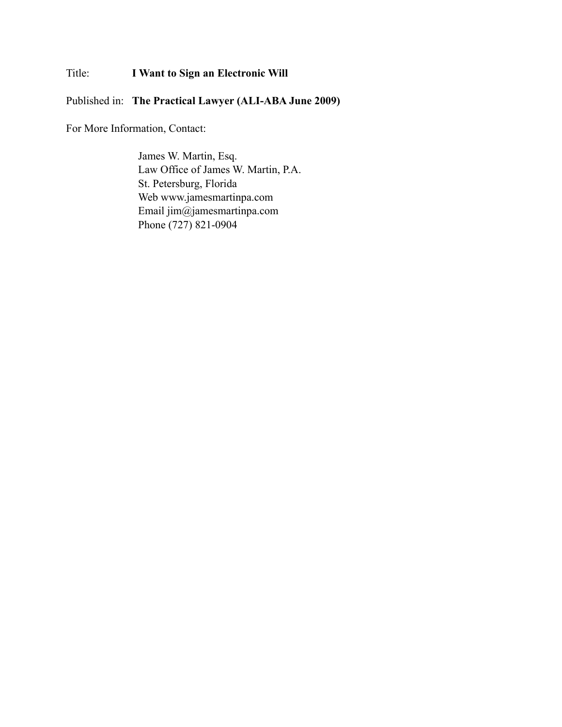## Title: **I Want to Sign an Electronic Will**

Published in: **The Practical Lawyer (ALI-ABA June 2009)**

For More Information, Contact:

James W. Martin, Esq. Law Office of James W. Martin, P.A. St. Petersburg, Florida Web www.jamesmartinpa.com Email jim@jamesmartinpa.com Phone (727) 821-0904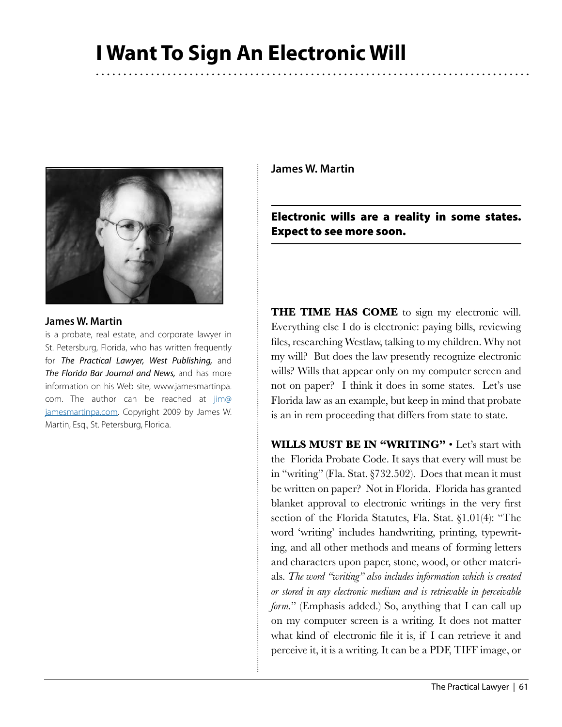# **I Want To Sign An Electronic Will**



#### **James W. Martin**

is a probate, real estate, and corporate lawyer in St. Petersburg, Florida, who has written frequently for *The Practical Lawyer, West Publishing,* and *The Florida Bar Journal and News,* and has more information on his Web site, www.jamesmartinpa. com. The author can be reached at [jim@](mailto:jim@jamesmartinpa.com) [jamesmartinpa.com](mailto:jim@jamesmartinpa.com). Copyright 2009 by James W. Martin, Esq., St. Petersburg, Florida.

**James W. Martin**

Electronic wills are a reality in some states. Expect to see more soon.

**THE TIME HAS COME** to sign my electronic will. Everything else I do is electronic: paying bills, reviewing files, researching Westlaw, talking to my children. Why not my will? But does the law presently recognize electronic wills? Wills that appear only on my computer screen and not on paper? I think it does in some states. Let's use Florida law as an example, but keep in mind that probate is an in rem proceeding that differs from state to state.

**WILLS MUST BE IN "WRITING"** • Let's start with the Florida Probate Code. It says that every will must be in "writing" (Fla. Stat. §732.502). Does that mean it must be written on paper? Not in Florida. Florida has granted blanket approval to electronic writings in the very first section of the Florida Statutes, Fla. Stat. §1.01(4): "The word 'writing' includes handwriting, printing, typewriting, and all other methods and means of forming letters and characters upon paper, stone, wood, or other materials. *The word "writing" also includes information which is created or stored in any electronic medium and is retrievable in perceivable form.*" (Emphasis added.) So, anything that I can call up on my computer screen is a writing. It does not matter what kind of electronic file it is, if I can retrieve it and perceive it, it is a writing. It can be a PDF, TIFF image, or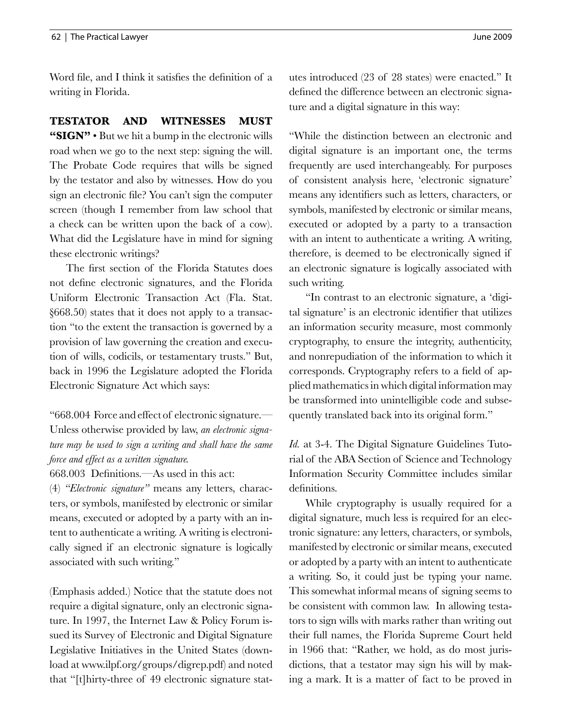Word file, and I think it satisfies the definition of a writing in Florida.

### **TESTATOR AND WITNESSES MUST**

**"SIGN"** • But we hit a bump in the electronic wills road when we go to the next step: signing the will. The Probate Code requires that wills be signed by the testator and also by witnesses. How do you sign an electronic file? You can't sign the computer screen (though I remember from law school that a check can be written upon the back of a cow). What did the Legislature have in mind for signing these electronic writings?

The first section of the Florida Statutes does not define electronic signatures, and the Florida Uniform Electronic Transaction Act (Fla. Stat. §668.50) states that it does not apply to a transaction "to the extent the transaction is governed by a provision of law governing the creation and execution of wills, codicils, or testamentary trusts." But, back in 1996 the Legislature adopted the Florida Electronic Signature Act which says:

"668.004 Force and effect of electronic signature.— Unless otherwise provided by law, *an electronic signature may be used to sign a writing and shall have the same force and effect as a written signature.*

668.003 Definitions.—As used in this act:

(4) *"Electronic signature"* means any letters, characters, or symbols, manifested by electronic or similar means, executed or adopted by a party with an intent to authenticate a writing. A writing is electronically signed if an electronic signature is logically associated with such writing."

(Emphasis added.) Notice that the statute does not require a digital signature, only an electronic signature. In 1997, the Internet Law & Policy Forum issued its Survey of Electronic and Digital Signature Legislative Initiatives in the United States (download at www.ilpf.org/groups/digrep.pdf) and noted that "[t]hirty-three of 49 electronic signature statutes introduced (23 of 28 states) were enacted." It defined the difference between an electronic signature and a digital signature in this way:

"While the distinction between an electronic and digital signature is an important one, the terms frequently are used interchangeably. For purposes of consistent analysis here, 'electronic signature' means any identifiers such as letters, characters, or symbols, manifested by electronic or similar means, executed or adopted by a party to a transaction with an intent to authenticate a writing. A writing, therefore, is deemed to be electronically signed if an electronic signature is logically associated with such writing.

"In contrast to an electronic signature, a 'digital signature' is an electronic identifier that utilizes an information security measure, most commonly cryptography, to ensure the integrity, authenticity, and nonrepudiation of the information to which it corresponds. Cryptography refers to a field of applied mathematics in which digital information may be transformed into unintelligible code and subsequently translated back into its original form."

*Id.* at 3-4. The Digital Signature Guidelines Tutorial of the ABA Section of Science and Technology Information Security Committee includes similar definitions.

While cryptography is usually required for a digital signature, much less is required for an electronic signature: any letters, characters, or symbols, manifested by electronic or similar means, executed or adopted by a party with an intent to authenticate a writing. So, it could just be typing your name. This somewhat informal means of signing seems to be consistent with common law. In allowing testators to sign wills with marks rather than writing out their full names, the Florida Supreme Court held in 1966 that: "Rather, we hold, as do most jurisdictions, that a testator may sign his will by making a mark. It is a matter of fact to be proved in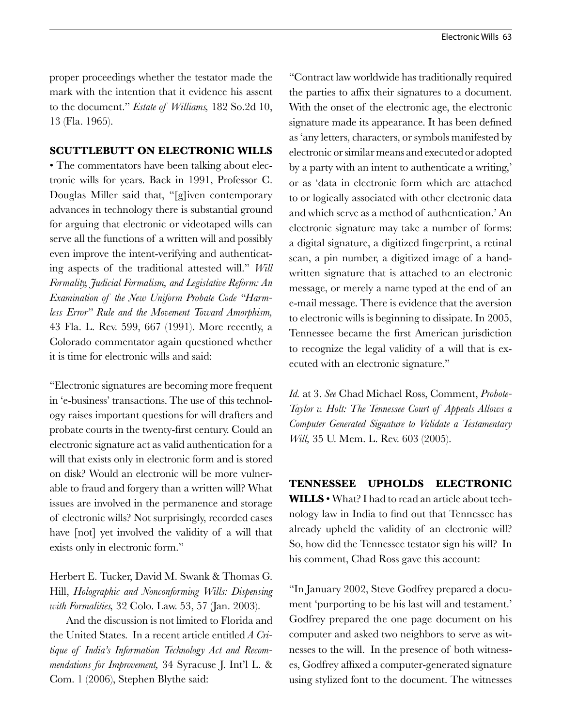proper proceedings whether the testator made the mark with the intention that it evidence his assent to the document." *Estate of Williams,* 182 So.2d 10, 13 (Fla. 1965).

#### **SCUTTLEBUTT ON ELECTRONIC WILLS**

• The commentators have been talking about electronic wills for years. Back in 1991, Professor C. Douglas Miller said that, "[g]iven contemporary advances in technology there is substantial ground for arguing that electronic or videotaped wills can serve all the functions of a written will and possibly even improve the intent-verifying and authenticating aspects of the traditional attested will." *Will Formality, Judicial Formalism, and Legislative Reform: An Examination of the New Uniform Probate Code "Harmless Error" Rule and the Movement Toward Amorphism,* 43 Fla. L. Rev. 599, 667 (1991). More recently, a Colorado commentator again questioned whether it is time for electronic wills and said:

"Electronic signatures are becoming more frequent in 'e-business' transactions. The use of this technology raises important questions for will drafters and probate courts in the twenty-first century. Could an electronic signature act as valid authentication for a will that exists only in electronic form and is stored on disk? Would an electronic will be more vulnerable to fraud and forgery than a written will? What issues are involved in the permanence and storage of electronic wills? Not surprisingly, recorded cases have [not] yet involved the validity of a will that exists only in electronic form."

Herbert E. Tucker, David M. Swank & Thomas G. Hill, *Holographic and Nonconforming Wills: Dispensing with Formalities,* 32 Colo. Law. 53, 57 (Jan. 2003).

And the discussion is not limited to Florida and the United States. In a recent article entitled *A Critique of India's Information Technology Act and Recommendations for Improvement,* 34 Syracuse J. Int'l L. & Com. 1 (2006), Stephen Blythe said:

"Contract law worldwide has traditionally required the parties to affix their signatures to a document. With the onset of the electronic age, the electronic signature made its appearance. It has been defined as 'any letters, characters, or symbols manifested by electronic or similar means and executed or adopted by a party with an intent to authenticate a writing,' or as 'data in electronic form which are attached to or logically associated with other electronic data and which serve as a method of authentication.' An electronic signature may take a number of forms: a digital signature, a digitized fingerprint, a retinal scan, a pin number, a digitized image of a handwritten signature that is attached to an electronic message, or merely a name typed at the end of an e-mail message. There is evidence that the aversion to electronic wills is beginning to dissipate. In 2005, Tennessee became the first American jurisdiction to recognize the legal validity of a will that is executed with an electronic signature."

*Id.* at 3. *See* Chad Michael Ross, Comment, *Probote-Taylor v. Holt: The Tennessee Court of Appeals Allows a Computer Generated Signature to Validate a Testamentary Will,* 35 U. Mem. L. Rev. 603 (2005).

**TENNESSEE UPHOLDS ELECTRONIC WILLS** • What? I had to read an article about technology law in India to find out that Tennessee has already upheld the validity of an electronic will? So, how did the Tennessee testator sign his will? In his comment, Chad Ross gave this account:

"In January 2002, Steve Godfrey prepared a document 'purporting to be his last will and testament.' Godfrey prepared the one page document on his computer and asked two neighbors to serve as witnesses to the will. In the presence of both witnesses, Godfrey affixed a computer-generated signature using stylized font to the document. The witnesses